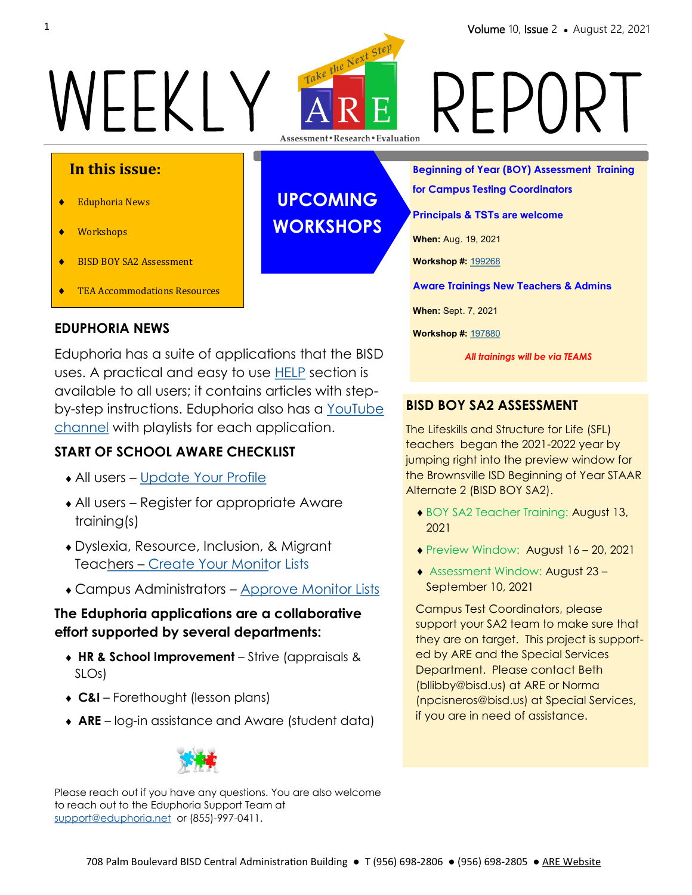# WEEKLY ARE REPORT

# **In this issue:**

- Eduphoria News
- Workshops
- ◆ BISD BOY SA2 Assessment
- **TEA Accommodations Resources**

### **EDUPHORIA NEWS**

Eduphoria has a suite of applications that the BISD uses. A practical and easy to use **HELP** section is available to all users; it contains articles with stepby-step instructions. Eduphoria also has a YouTube [channel](https://www.youtube.com/channel/UCmhnd1dG3O7G6Qy5G2XQInw) with playlists for each application.

## **START OF SCHOOL AWARE CHECKLIST**

- All users [Update Your Profile](https://eduphoria.zendesk.com/hc/en-us/articles/360051249353)
- All users Register for appropriate Aware training(s)
- Dyslexia, Resource, Inclusion, & Migrant Teachers – [Create Your Monito](https://eduphoria.zendesk.com/hc/en-us/articles/360043507893-Creating-Student-Monitor-Lists)r Lists
- Campus Administrators [Approve Monitor Lists](https://eduphoria.zendesk.com/hc/en-us/articles/360044265514-Monitor-List-Approval-)

### **The Eduphoria applications are a collaborative effort supported by several departments:**

- **HR & School Improvement**  Strive (appraisals & SLOs)
- **C&I**  Forethought (lesson plans)
- **ARE**  log-in assistance and Aware (student data)



Please reach out if you have any questions. You are also welcome to reach out to the Eduphoria Support Team at [support@eduphoria.net](mailto:support@eduphoria.net) or (855)-997-0411.

**UPCOMING WORKSHOPS** **Beginning of Year (BOY) Assessment Training** 

**for Campus Testing Coordinators** 

**Principals & TSTs are welcome**

**When:** Aug. 19, 2021

**Workshop #:** [199268](https://apps.esc1.net/ProfessionalDevelopment/bisd/Registration/Workshop/199268)

**Aware Trainings New Teachers & Admins**

**When:** Sept. 7, 2021

**Workshop #:** [197880](https://apps.esc1.net/ProfessionalDevelopment/bisd/Home/SearchWorkshops?criteria=Aware#collapse1978809_1_2021)

*All trainings will be via TEAMS*

# **BISD BOY SA2 ASSESSMENT**

The Lifeskills and Structure for Life (SFL) teachers began the 2021-2022 year by jumping right into the preview window for the Brownsville ISD Beginning of Year STAAR Alternate 2 (BISD BOY SA2).

- ◆ BOY SA2 Teacher Training: August 13, 2021
- ◆ Preview Window: August 16 20, 2021
- Assessment Window: August 23 September 10, 2021

Campus Test Coordinators, please support your SA2 team to make sure that they are on target. This project is supported by ARE and the Special Services Department. Please contact Beth (bllibby@bisd.us) at ARE or Norma (npcisneros@bisd.us) at Special Services, if you are in need of assistance.